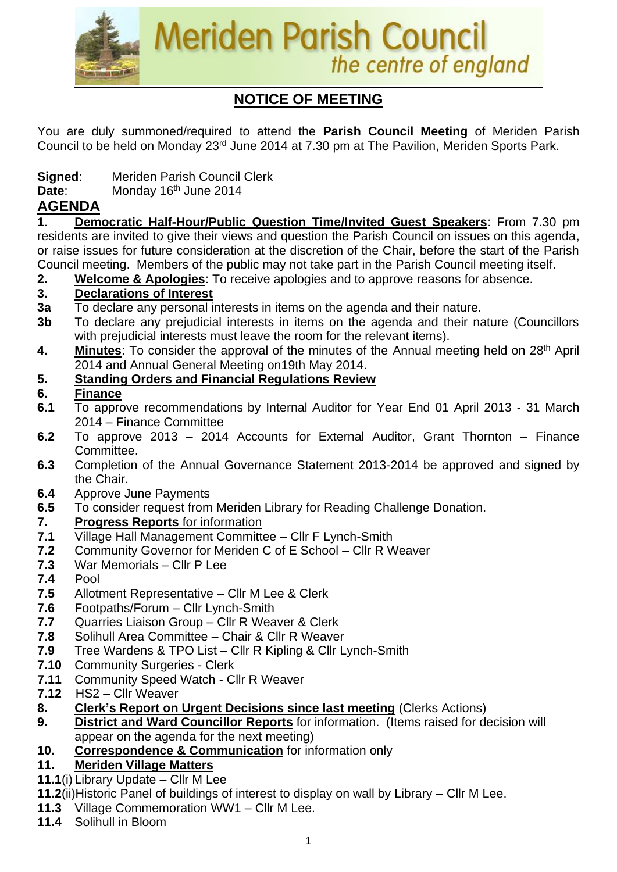

# **NOTICE OF MEETING**

You are duly summoned/required to attend the **Parish Council Meeting** of Meriden Parish Council to be held on Monday 23rd June 2014 at 7.30 pm at The Pavilion, Meriden Sports Park.

- **Signed**: Meriden Parish Council Clerk
- Date: Monday 16<sup>th</sup> June 2014

# **AGENDA**

**1**. **Democratic Half-Hour/Public Question Time/Invited Guest Speakers**: From 7.30 pm residents are invited to give their views and question the Parish Council on issues on this agenda, or raise issues for future consideration at the discretion of the Chair, before the start of the Parish Council meeting. Members of the public may not take part in the Parish Council meeting itself.

**2. Welcome & Apologies**: To receive apologies and to approve reasons for absence.

# **3. Declarations of Interest**

- **3a** To declare any personal interests in items on the agenda and their nature.
- **3b** To declare any prejudicial interests in items on the agenda and their nature (Councillors with prejudicial interests must leave the room for the relevant items).
- 4. Minutes: To consider the approval of the minutes of the Annual meeting held on 28<sup>th</sup> April 2014 and Annual General Meeting on19th May 2014.

## **5. Standing Orders and Financial Regulations Review**

#### **6. Finance**

- **6.1** To approve recommendations by Internal Auditor for Year End 01 April 2013 31 March 2014 – Finance Committee
- **6.2** To approve 2013 2014 Accounts for External Auditor, Grant Thornton Finance Committee.
- **6.3** Completion of the Annual Governance Statement 2013-2014 be approved and signed by the Chair.
- **6.4** Approve June Payments
- **6.5** To consider request from Meriden Library for Reading Challenge Donation.

## **7. Progress Reports** for information

- **7.1** Village Hall Management Committee Cllr F Lynch-Smith
- **7.2** Community Governor for Meriden C of E School Cllr R Weaver
- **7.3** War Memorials Cllr P Lee
- **7.4** Pool
- **7.5** Allotment Representative Cllr M Lee & Clerk
- **7.6** Footpaths/Forum Cllr Lynch-Smith
- **7.7** Quarries Liaison Group Cllr R Weaver & Clerk
- **7.8** Solihull Area Committee Chair & Cllr R Weaver
- **7.9** Tree Wardens & TPO List Cllr R Kipling & Cllr Lynch-Smith
- **7.10** Community Surgeries Clerk
- **7.11** Community Speed Watch Cllr R Weaver
- **7.12** HS2 Cllr Weaver
- **8. Clerk's Report on Urgent Decisions since last meeting** (Clerks Actions)
- **9. District and Ward Councillor Reports** for information. (Items raised for decision will appear on the agenda for the next meeting)
- **10. Correspondence & Communication** for information only

#### **11. Meriden Village Matters**

- **11.1**(i) Library Update Cllr M Lee
- **11.2**(ii)Historic Panel of buildings of interest to display on wall by Library Cllr M Lee.
- **11.3** Village Commemoration WW1 Cllr M Lee.
- **11.4** Solihull in Bloom